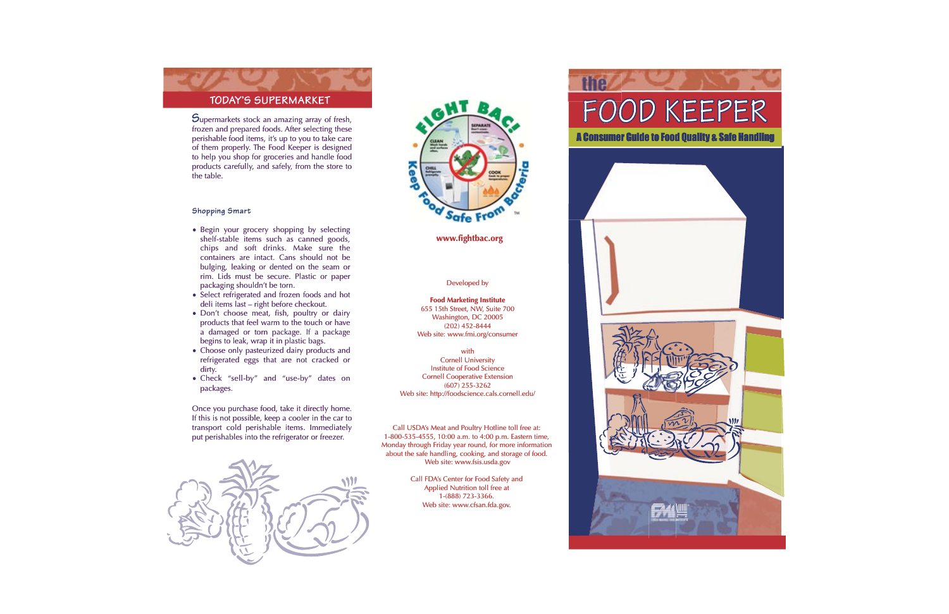# **TODAY'S SUPERMARKET**

 $S$ upermarkets stock an amazing array of fresh, frozen and prepared foods. After selecting these perishable food items, it's up to you to take care of them properly. The Food Keeper is designed to help you shop for groceries and handle food products carefully, and safely, from the store to the table.

#### **Shopping Smart**

- Begin your grocery shopping by selecting shelf-stable items such as canned goods, chips and soft drinks. Make sure the containers are intact. Cans should not be bulging, leaking or dented on the seam or rim. Lids must be secure. Plastic or paper packaging shouldn't be torn.
- Select refrigerated and frozen foods and hot deli items last – right before checkout.
- Don't choose meat, fish, poultry or dairy products that feel warm to the touch or have a damaged or torn package. If a package begins to leak, wrap it in plastic bags.
- Choose only pasteurized dairy products and refrigerated eggs that are not cracked or dirty.
- Check "sell-by" and "use-by" dates on packages.

Once you purchase food, take it directly home. If this is not possible, keep a cooler in the car to transport cold perishable items. Immediately put perishables into the refrigerator or freezer.





### **www.fightbac.org**

#### Developed by

**Food Marketing Institute** 655 15th Street, NW, Suite 700 Washington, DC 20005 (202) 452-8444 Web site: www.fmi.org/consumer

with

Cornell University Institute of Food Science Cornell Cooperative Extension (607) 255-3262 Web site: http://foodscience.cals.cornell.edu/

Call USDA's Meat and Poultry Hotline toll free at: 1-800-535-4555, 10:00 a.m. to 4:00 p.m. Eastern time, Monday through Friday year round, for more information about the safe handling, cooking, and storage of food. Web site: www.fsis.usda.gov

> Call FDA's Center for Food Safety and Applied Nutrition toll free at 1-(888) 723-3366. Web site: www.cfsan.fda.gov.

# FOOD KEEPER

the

A Consumer Guide to Food Quality & Safe Handling

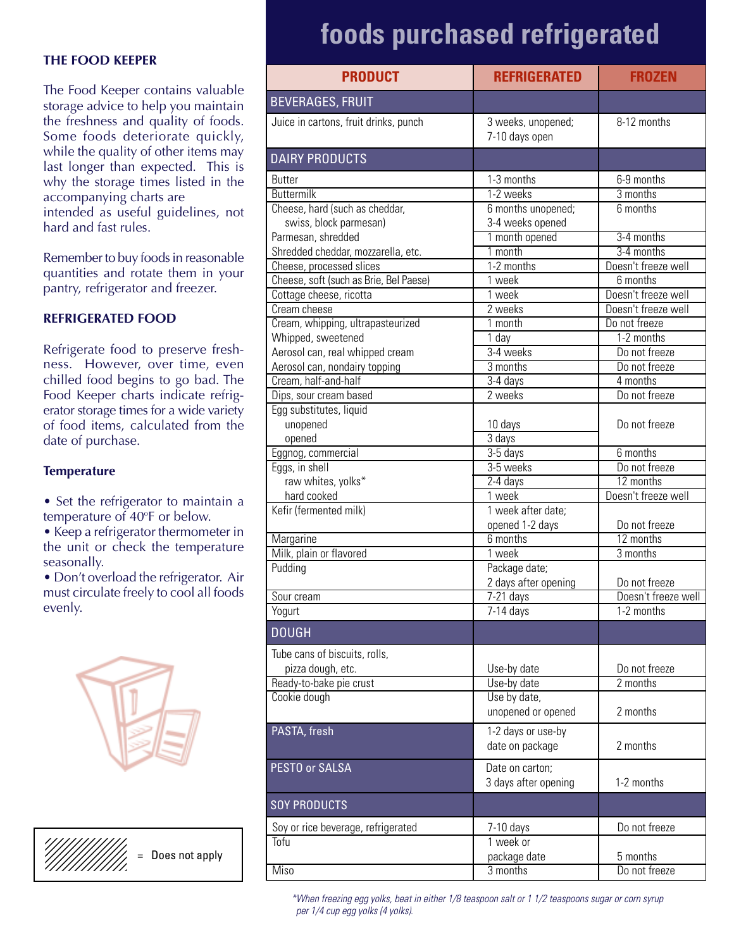#### **THE FOOD KEEPER**

The Food Keeper contains valuable storage advice to help you maintain the freshness and quality of foods. Some foods deteriorate quickly, while the quality of other items may last longer than expected. This is why the storage times listed in the accompanying charts are intended as useful guidelines, not hard and fast rules.

Remember to buy foods in reasonable quantities and rotate them in your pantry, refrigerator and freezer.

### **REFRIGERATED FOOD**

Refrigerate food to preserve freshness. However, over time, even chilled food begins to go bad. The Food Keeper charts indicate refrigerator storage times for a wide variety of food items, calculated from the date of purchase.

#### **Temperature**

- Set the refrigerator to maintain a temperature of 40°F or below.
- Keep a refrigerator thermometer in the unit or check the temperature seasonally.
- Don't overload the refrigerator. Air must circulate freely to cool all foods evenly.



Does not apply

# **foods purchased refrigerated**

| <b>PRODUCT</b>                         | <b>REFRIGERATED</b>                  | <b>FROZEN</b>       |
|----------------------------------------|--------------------------------------|---------------------|
| <b>BEVERAGES, FRUIT</b>                |                                      |                     |
| Juice in cartons, fruit drinks, punch  | 3 weeks, unopened;<br>7-10 days open | 8-12 months         |
| <b>DAIRY PRODUCTS</b>                  |                                      |                     |
| <b>Butter</b>                          | 1-3 months                           | 6-9 months          |
| <b>Buttermilk</b>                      | 1-2 weeks                            | 3 months            |
| Cheese, hard (such as cheddar,         | 6 months unopened;                   | 6 months            |
| swiss, block parmesan)                 | 3-4 weeks opened                     |                     |
| Parmesan, shredded                     | 1 month opened                       | 3-4 months          |
| Shredded cheddar, mozzarella, etc.     | 1 month                              | 3-4 months          |
| Cheese, processed slices               | 1-2 months                           | Doesn't freeze well |
| Cheese, soft (such as Brie, Bel Paese) | 1 week                               | 6 months            |
| Cottage cheese, ricotta                | 1 week                               | Doesn't freeze well |
| Cream cheese                           | 2 weeks                              | Doesn't freeze well |
| Cream, whipping, ultrapasteurized      | 1 month                              | Do not freeze       |
| Whipped, sweetened                     | $\overline{1}$ day                   | 1-2 months          |
| Aerosol can, real whipped cream        | 3-4 weeks                            | Do not freeze       |
| Aerosol can, nondairy topping          | 3 months                             | Do not freeze       |
| Cream, half-and-half                   | $3-4$ days                           | 4 months            |
| Dips, sour cream based                 | 2 weeks                              | Do not freeze       |
| Egg substitutes, liquid                |                                      |                     |
| unopened                               | 10 days                              | Do not freeze       |
| opened                                 | $\overline{3}$ days                  | 6 months            |
| Eggnog, commercial<br>Eggs, in shell   | 3-5 days<br>3-5 weeks                | Do not freeze       |
| raw whites, yolks*                     | 2-4 days                             | 12 months           |
| hard cooked                            | 1 week                               | Doesn't freeze well |
| Kefir (fermented milk)                 | 1 week after date;                   |                     |
|                                        | opened 1-2 days                      | Do not freeze       |
| Margarine                              | 6 months                             | 12 months           |
| Milk, plain or flavored                | 1 week                               | 3 months            |
| Pudding                                | Package date;                        |                     |
|                                        | 2 days after opening                 | Do not freeze       |
| Sour cream                             | 7-21 days                            | Doesn't freeze well |
| Yogurt                                 | $7-14$ days                          | 1-2 months          |
| <b>DOUGH</b>                           |                                      |                     |
| Tube cans of biscuits, rolls,          |                                      |                     |
| pizza dough, etc.                      | Use-by date                          | Do not freeze       |
| Ready-to-bake pie crust                | Use-by date                          | 2 months            |
| Cookie dough                           | Use by date,                         |                     |
|                                        | unopened or opened                   | 2 months            |
| PASTA, fresh                           | 1-2 days or use-by                   |                     |
|                                        | date on package                      | 2 months            |
| PESTO or SALSA                         | Date on carton;                      |                     |
|                                        | 3 days after opening                 | 1-2 months          |
| <b>SOY PRODUCTS</b>                    |                                      |                     |
| Soy or rice beverage, refrigerated     | 7-10 days                            | Do not freeze       |
| Tofu                                   | 1 week or                            |                     |
|                                        | package date                         | 5 months            |
| <b>Miso</b>                            | 3 months                             | Do not freeze       |

\*When freezing egg yolks, beat in either 1/8 teaspoon salt or 1 1/2 teaspoons sugar or corn syrup per 1/4 cup egg yolks (4 yolks).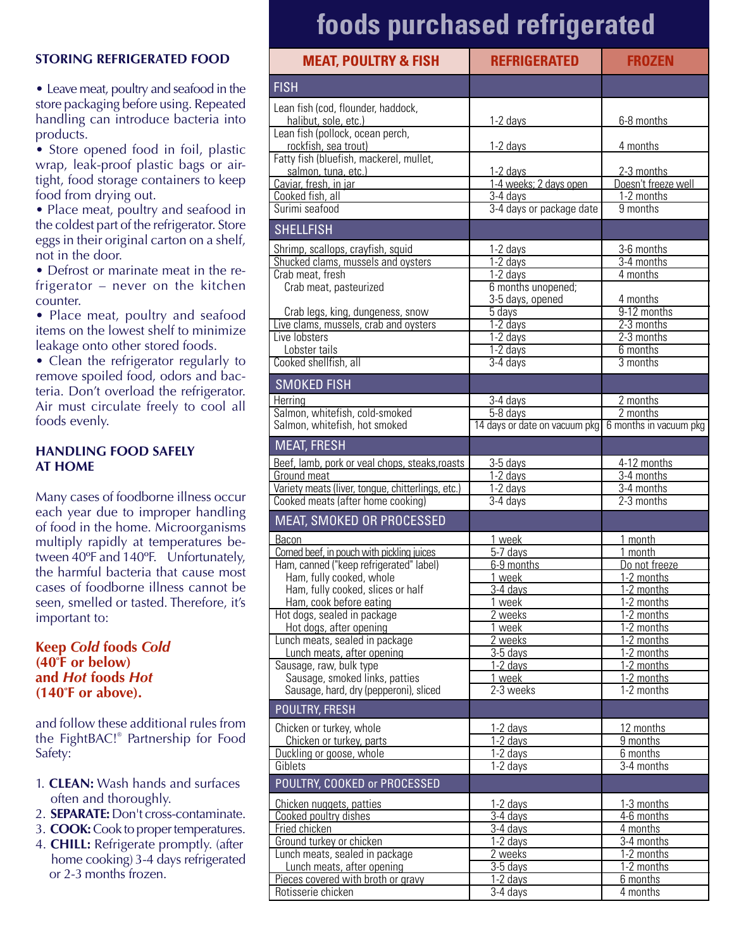### **STORING REFRIGERATED FOOD**

• Leave meat, poultry and seafood in the store packaging before using. Repeated handling can introduce bacteria into products.

• Store opened food in foil, plastic wrap, leak-proof plastic bags or airtight, food storage containers to keep food from drying out.

• Place meat, poultry and seafood in the coldest part of the refrigerator. Store eggs in their original carton on a shelf, not in the door.

• Defrost or marinate meat in the refrigerator – never on the kitchen counter.

• Place meat, poultry and seafood items on the lowest shelf to minimize leakage onto other stored foods.

• Clean the refrigerator regularly to remove spoiled food, odors and bacteria. Don't overload the refrigerator. Air must circulate freely to cool all foods evenly.

#### **HANDLING FOOD SAFELY AT HOME**

Many cases of foodborne illness occur each year due to improper handling of food in the home. Microorganisms multiply rapidly at temperatures between 40ºF and 140ºF. Unfortunately, the harmful bacteria that cause most cases of foodborne illness cannot be seen, smelled or tasted. Therefore, it's important to:

### **Keep** *Cold* **foods** *Cold* **(40o F or below) and** *Hot* **foods** *Hot* **(140°F** or above).

and follow these additional rules from the FightBAC!® Partnership for Food Safety:

- 1. **CLEAN:** Wash hands and surfaces often and thoroughly.
- 2. **SEPARATE:**Don't cross-contaminate.
- 3. **COOK:**Cook to proper temperatures.
- 4. **CHILL:** Refrigerate promptly. (after home cooking) 3-4 days refrigerated or 2-3 months frozen.

# **foods purchased refrigerated**

| <b>MEAT, POULTRY &amp; FISH</b>                                           | <b>REFRIGERATED</b>             | <b>FROZEN</b>               |
|---------------------------------------------------------------------------|---------------------------------|-----------------------------|
| <b>FISH</b>                                                               |                                 |                             |
| Lean fish (cod, flounder, haddock,                                        |                                 |                             |
| halibut, sole, etc.)<br>Lean fish (pollock, ocean perch,                  | 1-2 days                        | 6-8 months                  |
| rockfish, sea trout)                                                      | $1 - 2$ days                    | 4 months                    |
| Fatty fish (bluefish, mackerel, mullet,<br>salmon, tuna, etc.)            | 1-2 days                        | 2-3 months                  |
| Caviar, fresh, in jar                                                     | 1-4 weeks; 2 days open          | Doesn't freeze well         |
| Cooked fish, all                                                          | $3-4$ days                      | 1-2 months                  |
| Surimi seafood                                                            | 3-4 days or package date        | 9 months                    |
| <b>SHELLFISH</b>                                                          |                                 |                             |
| Shrimp, scallops, crayfish, squid                                         | 1-2 days                        | 3-6 months                  |
| Shucked clams, mussels and oysters<br>Crab meat, fresh                    | $1-2$ days<br>1-2 days          | 3-4 months<br>4 months      |
| Crab meat, pasteurized                                                    | 6 months unopened;              |                             |
|                                                                           | 3-5 days, opened                | 4 months                    |
| Crab legs, king, dungeness, snow<br>Live clams, mussels, crab and oysters | $\overline{5}$ days<br>1-2 days | 9-12 months<br>2-3 months   |
| Live lobsters                                                             | $1-2$ days                      | 2-3 months                  |
| Lobster tails                                                             | 1-2 days                        | 6 months                    |
| Cooked shellfish, all                                                     | $3-4$ days                      | 3 months                    |
| <b>SMOKED FISH</b>                                                        |                                 |                             |
| Herring                                                                   | 3-4 days                        | 2 months                    |
| Salmon, whitefish, cold-smoked                                            | 5-8 days                        | 2 months                    |
| Salmon, whitefish, hot smoked                                             | 14 days or date on vacuum pkg   | 6 months in vacuum pkg      |
| <b>MEAT, FRESH</b>                                                        |                                 |                             |
| Beef, lamb, pork or veal chops, steaks, roasts<br>Ground meat             | $3-5$ days<br>1-2 days          | 4-12 months<br>$3-4$ months |
| Variety meats (liver, tongue, chitterlings, etc.)                         | 1-2 days                        | $3-4$ months                |
| Cooked meats (after home cooking)                                         | $3-4$ days                      | 2-3 months                  |
| MEAT, SMOKED OR PROCESSED                                                 |                                 |                             |
| Bacon                                                                     | 1 week                          | 1 month                     |
| Corned beef, in pouch with pickling juices                                | 5-7 days                        | 1 month                     |
| Ham, canned ("keep refrigerated" label)<br>Ham, fully cooked, whole       | 6-9 months<br>1 week            | Do not freeze<br>1-2 months |
| Ham, fully cooked, slices or half                                         | 3-4 davs                        | 1-2 months                  |
| Ham, cook before eating                                                   | 1 week                          | 1-2 months                  |
| Hot dogs, sealed in package<br>Hot dogs, after opening                    | 2 weeks<br>1 week               | 1-2 months<br>1-2 months    |
| Lunch meats, sealed in package                                            | 2 weeks                         | 1-2 months                  |
| Lunch meats, after opening                                                | 3-5 days                        | 1-2 months                  |
| Sausage, raw, bulk type<br>Sausage, smoked links, patties                 | 1-2 days<br>1 week              | 1-2 months<br>1-2 months    |
| Sausage, hard, dry (pepperoni), sliced                                    | 2-3 weeks                       | 1-2 months                  |
| <b>POULTRY, FRESH</b>                                                     |                                 |                             |
| Chicken or turkey, whole                                                  | 1-2 days                        | 12 months                   |
| Chicken or turkey, parts                                                  | 1-2 days                        | $\overline{9}$ months       |
| Duckling or goose, whole<br>Giblets                                       | 1-2 days<br>1-2 days            | 6 months<br>3-4 months      |
| POULTRY, COOKED or PROCESSED                                              |                                 |                             |
|                                                                           |                                 |                             |
| Chicken nuggets, patties<br>Cooked poultry dishes                         | 1-2 days<br>3-4 days            | 1-3 months<br>4-6 months    |
| Fried chicken                                                             | 3-4 days                        | 4 months                    |
| Ground turkey or chicken                                                  | $\overline{1}$ -2 days          | $3-4$ months                |
| Lunch meats, sealed in package<br>Lunch meats, after opening              | 2 weeks<br>3-5 days             | 1-2 months<br>1-2 months    |
| Pieces covered with broth or gravy                                        | 1-2 days                        | 6 months                    |
| Rotisserie chicken                                                        | 3-4 days                        | 4 months                    |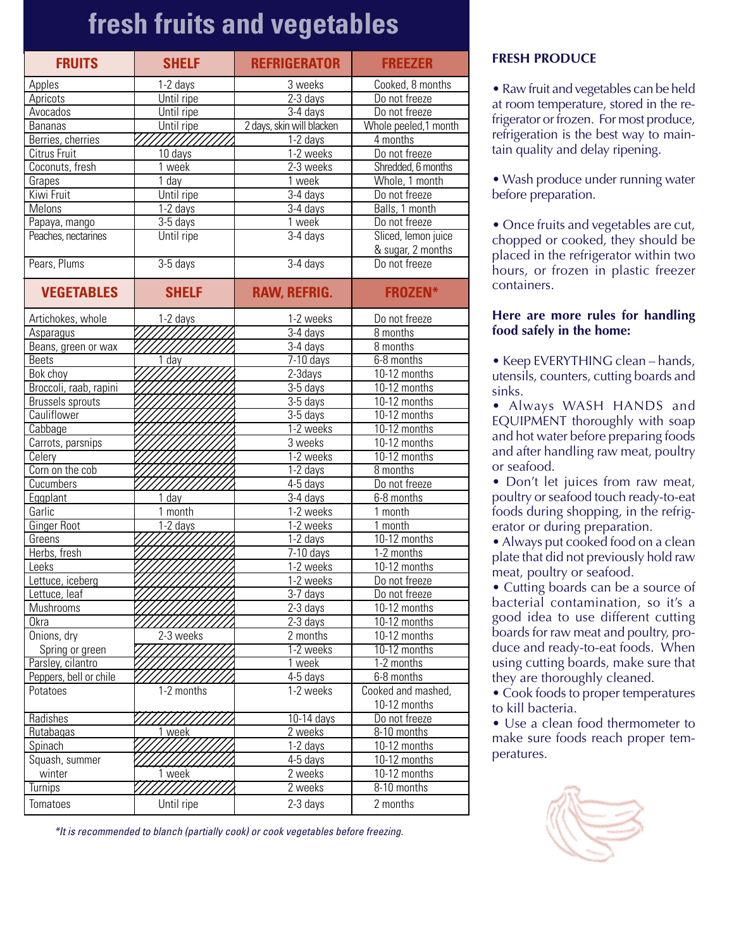# **fresh fruits and vegetables**

| <b>FRUITS</b>           | <b>SHELF</b>       | <b>REFRIGERATOR</b>       | <b>FREEZER</b>       |
|-------------------------|--------------------|---------------------------|----------------------|
| Apples                  | 1-2 days           | 3 weeks                   | Cooked, 8 months     |
| Apricots                | Until ripe         | $2-3$ days                | Do not freeze        |
| Avocados                | Until ripe         | 3-4 days                  | Do not freeze        |
| <b>Bananas</b>          | Until ripe         | 2 days, skin will blacken | Whole peeled,1 month |
| Berries, cherries       | ///////            | 1-2 days                  | 4 months             |
| Citrus Fruit            | 10 days            | 1-2 weeks                 | Do not freeze        |
| Coconuts, fresh         | 1 week             | 2-3 weeks                 | Shredded, 6 months   |
| Grapes                  | $\overline{1}$ day | 1 week                    | Whole, 1 month       |
| Kiwi Fruit              | Until ripe         | $3-4$ days                | Do not freeze        |
| Melons                  | $1-2$ days         | $3-4$ days                | Balls, 1 month       |
| Papaya, mango           | 3-5 days           | 1 week                    | Do not freeze        |
| Peaches, nectarines     | Until ripe         | $3-4$ days                | Sliced, lemon juice  |
|                         |                    |                           | & sugar, 2 months    |
| Pears, Plums            | $3-5$ days         | $3-4$ days                | Do not freeze        |
| <b>VEGETABLES</b>       | <b>SHELF</b>       | <b>RAW, REFRIG.</b>       | <b>FROZEN*</b>       |
| Artichokes, whole       | 1-2 days           | 1-2 weeks                 | Do not freeze        |
| Asparagus               |                    | $3-4$ days                | 8 months             |
| Beans, green or wax     |                    | $3-4$ days                | 8 months             |
| <b>Beets</b>            | 1 <sub>day</sub>   | $\overline{7-10}$ days    | 6-8 months           |
| Bok choy                |                    | 2-3days                   | 10-12 months         |
| Broccoli, raab, rapini  |                    | 3-5 days                  | 10-12 months         |
| <b>Brussels sprouts</b> |                    | 3-5 days                  | 10-12 months         |
| Cauliflower             |                    | $3-5$ days                | $10-12$ months       |
| Cabbage                 |                    | 1-2 weeks                 | 10-12 months         |
| Carrots, parsnips       |                    | 3 weeks                   | 10-12 months         |
| Celery                  |                    | 1-2 weeks                 | 10-12 months         |
| Corn on the cob         |                    | 1-2 days                  | 8 months             |
| Cucumbers               |                    | 4-5 days                  | Do not freeze        |
| Eggplant                | 1 day              | 3-4 days                  | 6-8 months           |
| Garlic                  | 1 month            | 1-2 weeks                 | 1 month              |
| <b>Ginger Root</b>      | $1-2$ days         | 1-2 weeks                 | 1 month              |
| Greens                  |                    | 1-2 days                  | 10-12 months         |
| Herbs, fresh            |                    | $7-10$ days               | 1-2 months           |
| Leeks                   |                    | 1-2 weeks                 | 10-12 months         |
| Lettuce, iceberg        |                    | 1-2 weeks                 | Do not freeze        |
| Lettuce, leaf           |                    | $3-7$ days                | Do not freeze        |
| Mushrooms               |                    | 2-3 days                  | 10-12 months         |
| <b>Okra</b>             |                    | $2-3$ days                | 10-12 months         |
| Onions, dry             | 2-3 weeks          | 2 months                  | 10-12 months         |
| Spring or green         |                    | 1-2 weeks                 | 10-12 months         |
| Parsley, cilantro       |                    | 1 week                    | 1-2 months           |
| Peppers, bell or chile  |                    |                           | 6-8 months           |
| Potatoes                | 1-2 months         | 4-5 days<br>1-2 weeks     | Cooked and mashed,   |
|                         |                    |                           | 10-12 months         |
| Radishes                |                    | 10-14 days                | Do not freeze        |
| <b>Rutabagas</b>        | 1 week             | 2 weeks                   | 8-10 months          |
| Spinach                 |                    | 1-2 days                  | 10-12 months         |
| Squash, summer          |                    | 4-5 days                  | 10-12 months         |
| winter                  | 1 week             | 2 weeks                   | 10-12 months         |
| Turnips                 |                    | 2 weeks                   | 8-10 months          |
|                         |                    |                           |                      |
| Tomatoes                | Until ripe         | 2-3 days                  | 2 months             |

### **FRESH PRODUCE**

• Raw fruit and vegetables can be held at room temperature, stored in the refrigerator or frozen. For most produce, refrigeration is the best way to maintain quality and delay ripening.

• Wash produce under running water before preparation.

• Once fruits and vegetables are cut, chopped or cooked, they should be placed in the refrigerator within two hours, or frozen in plastic freezer containers.

#### **Here are more rules for handling food safely in the home:**

• Keep EVERYTHING clean – hands, utensils, counters, cutting boards and sinks.

• Always WASH HANDS and EQUIPMENT thoroughly with soap and hot water before preparing foods and after handling raw meat, poultry or seafood.

• Don't let juices from raw meat, poultry or seafood touch ready-to-eat foods during shopping, in the refrigerator or during preparation.

• Always put cooked food on a clean plate that did not previously hold raw meat, poultry or seafood.

• Cutting boards can be a source of bacterial contamination, so it's a good idea to use different cutting boards for raw meat and poultry, produce and ready-to-eat foods. When using cutting boards, make sure that they are thoroughly cleaned.

• Cook foods to proper temperatures to kill bacteria.

• Use a clean food thermometer to make sure foods reach proper temperatures.



\*It is recommended to blanch (partially cook) or cook vegetables before freezing.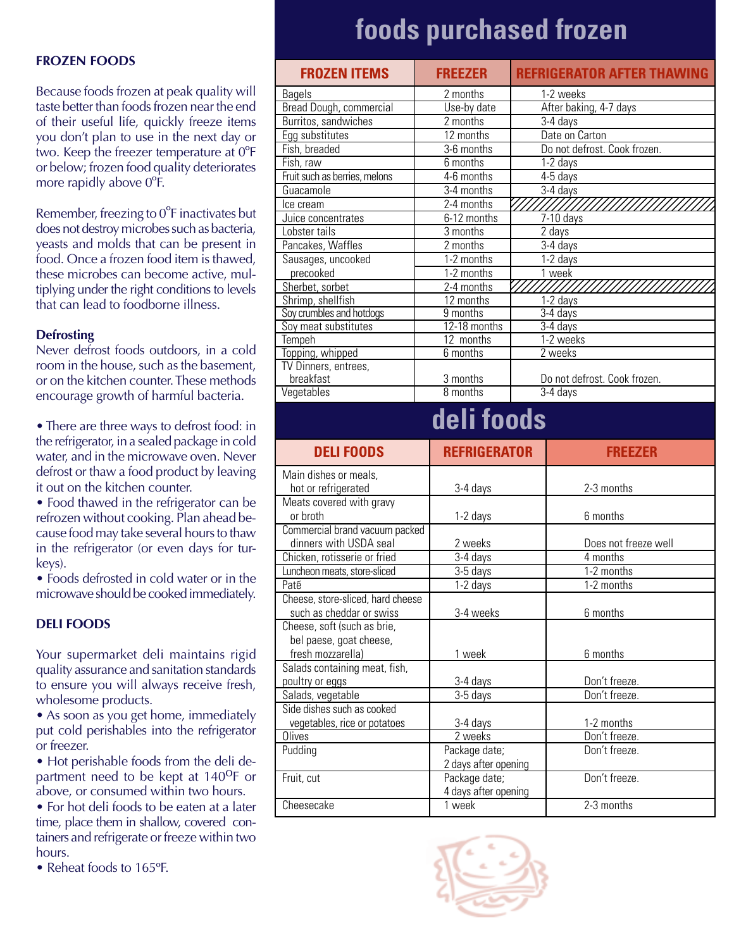#### **FROZEN FOODS**

Because foods frozen at peak quality will taste better than foods frozen near the end of their useful life, quickly freeze items you don't plan to use in the next day or two. Keep the freezer temperature at 0ºF or below; frozen food quality deteriorates more rapidly above 0ºF.

Remember, freezing to 0ºF inactivates but does not destroy microbes such as bacteria, yeasts and molds that can be present in food. Once a frozen food item is thawed, these microbes can become active, multiplying under the right conditions to levels that can lead to foodborne illness.

#### **Defrosting**

Never defrost foods outdoors, in a cold room in the house, such as the basement, or on the kitchen counter. These methods encourage growth of harmful bacteria.

• There are three ways to defrost food: in the refrigerator, in a sealed package in cold water, and in the microwave oven. Never defrost or thaw a food product by leaving it out on the kitchen counter.

• Food thawed in the refrigerator can be refrozen without cooking. Plan ahead because food may take several hours to thaw in the refrigerator (or even days for turkeys).

• Foods defrosted in cold water or in the microwave should be cooked immediately.

#### **DELI FOODS**

Your supermarket deli maintains rigid quality assurance and sanitation standards to ensure you will always receive fresh, wholesome products.

• As soon as you get home, immediately put cold perishables into the refrigerator or freezer.

• Hot perishable foods from the deli department need to be kept at 140<sup>o</sup>F or above, or consumed within two hours.

• For hot deli foods to be eaten at a later time, place them in shallow, covered containers and refrigerate or freeze within two hours.

• Reheat foods to 165°F.

# **foods purchased frozen**

| <b>FROZEN ITEMS</b>               | <b>FREEZER</b>                 | <b>REFRIGERATOR AFTER THAWING</b> |  |
|-----------------------------------|--------------------------------|-----------------------------------|--|
| <b>Bagels</b>                     | 2 months                       | 1-2 weeks                         |  |
| Bread Dough, commercial           | Use-by date                    | After baking, 4-7 days            |  |
| Burritos, sandwiches              | $\overline{2}$ months          | 3-4 days                          |  |
| Egg substitutes                   | 12 months                      | Date on Carton                    |  |
| Fish, breaded                     | 3-6 months                     | Do not defrost. Cook frozen.      |  |
| Fish, raw                         | 6 months                       | 1-2 days                          |  |
| Fruit such as berries, melons     | 4-6 months                     | 4-5 days                          |  |
| Guacamole                         | 3-4 months                     | $3-4$ days                        |  |
| Ice cream                         | 2-4 months                     |                                   |  |
| Juice concentrates                | 6-12 months                    | $7-10$ days                       |  |
| Lobster tails                     | $\overline{3}$ months          | 2 days                            |  |
| Pancakes, Waffles                 | $\overline{2}$ months          | 3-4 days                          |  |
| Sausages, uncooked                | 1-2 months                     | 1-2 days                          |  |
| precooked                         | 1-2 months                     | 1 week                            |  |
| Sherbet, sorbet                   | 2-4 months                     |                                   |  |
| Shrimp, shellfish                 | 12 months                      | $1-2$ days                        |  |
| Soy crumbles and hotdogs          | 9 months                       | $3-4$ days                        |  |
| Soy meat substitutes              | 12-18 months                   | $3-4$ days                        |  |
| Tempeh                            | 12 months                      | 1-2 weeks                         |  |
| Topping, whipped                  | 6 months                       | 2 weeks                           |  |
| TV Dinners, entrees,              |                                |                                   |  |
| breakfast<br>Vegetables           | 3 months<br>8 months           | Do not defrost. Cook frozen.      |  |
|                                   |                                | 3-4 days                          |  |
| deli foods                        |                                |                                   |  |
|                                   |                                |                                   |  |
| <b>DELIFOODS</b>                  | <b>REFRIGERATOR</b>            | <b>FREEZER</b>                    |  |
| Main dishes or meals,             |                                |                                   |  |
| hot or refrigerated               | 3-4 days                       | 2-3 months                        |  |
| Meats covered with gravy          |                                |                                   |  |
| or broth                          | 1-2 days                       | 6 months                          |  |
| Commercial brand vacuum packed    |                                |                                   |  |
| dinners with USDA seal            | 2 weeks                        | Does not freeze well              |  |
| Chicken, rotisserie or fried      | $3-4$ days                     | 4 months                          |  |
| Luncheon meats, store-sliced      | 3-5 days                       | 1-2 months                        |  |
| Paté                              | 1-2 days                       | 1-2 months                        |  |
| Cheese, store-sliced, hard cheese |                                |                                   |  |
| such as cheddar or swiss          | 3-4 weeks                      | 6 months                          |  |
| Cheese, soft (such as brie,       |                                |                                   |  |
| bel paese, goat cheese,           |                                |                                   |  |
| fresh mozzarella)                 | 1 week                         | 6 months                          |  |
| Salads containing meat, fish,     |                                |                                   |  |
| poultry or eggs                   | 3-4 days                       | Don't freeze.                     |  |
| Salads, vegetable                 | 3-5 days                       | Don't freeze.                     |  |
| Side dishes such as cooked        |                                |                                   |  |
| vegetables, rice or potatoes      | 3-4 days                       | 1-2 months                        |  |
| Olives                            | 2 weeks                        | Don't freeze.                     |  |
| Pudding                           | Package date;                  | Don't freeze.                     |  |
|                                   | 2 days after opening           |                                   |  |
| Fruit, cut                        | Package date;                  | Don't freeze.                     |  |
| Cheesecake                        | 4 days after opening<br>1 week | 2-3 months                        |  |

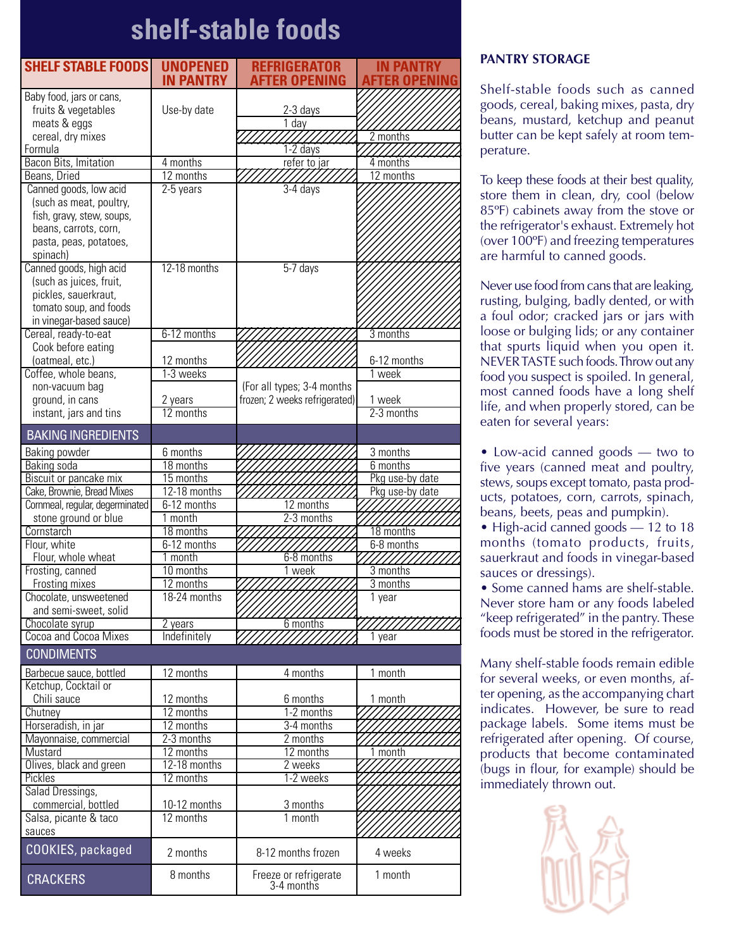# **shelf-stable foods**

| <b>SHELF STABLE FOODS</b>                         | <b>UNOPENED</b>           | <b>REFRIGERATOR</b>                 | IN PANTRY           |
|---------------------------------------------------|---------------------------|-------------------------------------|---------------------|
|                                                   | <b>IN PANTRY</b>          | AFTER OPENING                       |                     |
| Baby food, jars or cans,                          |                           |                                     |                     |
| fruits & vegetables                               | Use-by date               | $2 - 3$ days                        |                     |
| meats & eggs                                      |                           | 1 day                               |                     |
| cereal, dry mixes                                 |                           |                                     | 2 months            |
| Formula                                           |                           | $\overline{1-2}$ days               |                     |
| Bacon Bits, Imitation                             | 4 months                  | refer to jar                        | 4 months            |
| Beans, Dried                                      | 12 months                 |                                     | 12 months           |
| Canned goods, low acid<br>(such as meat, poultry, | 2-5 years                 | $3-4$ days                          |                     |
| fish, gravy, stew, soups,                         |                           |                                     |                     |
| beans, carrots, corn,                             |                           |                                     |                     |
| pasta, peas, potatoes,                            |                           |                                     |                     |
| spinach)                                          |                           |                                     |                     |
| Canned goods, high acid                           | 12-18 months              | $5-7$ days                          |                     |
| (such as juices, fruit,                           |                           |                                     |                     |
| pickles, sauerkraut,                              |                           |                                     |                     |
| tomato soup, and foods                            |                           |                                     |                     |
| in vinegar-based sauce)                           |                           |                                     |                     |
| Cereal, ready-to-eat                              | 6-12 months               |                                     | 3 months            |
| Cook before eating                                |                           |                                     |                     |
| (oatmeal, etc.)                                   | 12 months                 |                                     | 6-12 months         |
| Coffee, whole beans,                              | 1-3 weeks                 |                                     | 1 week              |
| non-vacuum bag                                    |                           | (For all types; 3-4 months          |                     |
| ground, in cans                                   | 2 years                   | frozen; 2 weeks refrigerated)       | 1 week              |
| instant, jars and tins                            | 12 months                 |                                     | 2-3 months          |
| <b>BAKING INGREDIENTS</b>                         |                           |                                     |                     |
| Baking powder                                     | 6 months                  |                                     | 3 months            |
| Baking soda                                       | 18 months                 |                                     | 6 months            |
| Biscuit or pancake mix                            | 15 months                 |                                     | Pkg use-by date     |
| Cake, Brownie, Bread Mixes                        | 12-18 months              |                                     | Pkg use-by date     |
| Cornmeal, regular, degerminated                   | 6-12 months               | 12 months                           |                     |
| stone ground or blue                              | 1 month                   | $2-3$ months                        |                     |
| Cornstarch                                        | 18 months                 |                                     | 18 months           |
| Flour, white                                      | 6-12 months               |                                     | 6-8 months          |
| Flour, whole wheat                                | 1 month                   | 6-8 months                          |                     |
| Frosting, canned                                  | 10 months                 | week                                | 3 months            |
| Frosting mixes                                    | 12 months<br>18-24 months |                                     | 3 months            |
| Chocolate, unsweetened<br>and semi-sweet, solid   |                           |                                     | $\overline{1}$ year |
| Chocolate syrup                                   | 2 years                   | 6 months                            |                     |
| Cocoa and Cocoa Mixes                             | Indefinitely              | ////                                | $\overline{1}$ year |
| <b>CONDIMENTS</b>                                 |                           |                                     |                     |
|                                                   |                           |                                     |                     |
| Barbecue sauce, bottled                           | 12 months                 | 4 months                            | 1 month             |
| Ketchup, Cocktail or                              |                           |                                     |                     |
| Chili sauce                                       | 12 months<br>12 months    | 6 months<br>1-2 months              | 1 month             |
| Chutney<br>Horseradish, in jar                    | 12 months                 | 3-4 months                          |                     |
| Mayonnaise, commercial                            | $2-3$ months              | 2 months                            |                     |
| Mustard                                           | 12 months                 | 12 months                           | $1$ month           |
| Olives, black and green                           | 12-18 months              | 2 weeks                             |                     |
| Pickles                                           | 12 months                 | 1-2 weeks                           |                     |
| Salad Dressings,                                  |                           |                                     |                     |
| commercial, bottled                               | 10-12 months              | 3 months                            |                     |
| Salsa, picante & taco                             | 12 months                 | 1 month                             |                     |
| sauces                                            |                           |                                     |                     |
| COOKIES, packaged                                 | 2 months                  | 8-12 months frozen                  | 4 weeks             |
| <b>CRACKERS</b>                                   | 8 months                  | Freeze or refrigerate<br>3-4 months | 1 month             |

### **PANTRY STORAGE**

Shelf-stable foods such as canned goods, cereal, baking mixes, pasta, dry beans, mustard, ketchup and peanut butter can be kept safely at room temperature.

To keep these foods at their best quality, store them in clean, dry, cool (below 85ºF) cabinets away from the stove or the refrigerator's exhaust. Extremely hot (over 100ºF) and freezing temperatures are harmful to canned goods.

Never use food from cans that are leaking, rusting, bulging, badly dented, or with a foul odor; cracked jars or jars with loose or bulging lids; or any container that spurts liquid when you open it. NEVER TASTE such foods. Throw out any food you suspect is spoiled. In general, most canned foods have a long shelf life, and when properly stored, can be eaten for several years:

• Low-acid canned goods — two to five years (canned meat and poultry, stews, soups except tomato, pasta products, potatoes, corn, carrots, spinach, beans, beets, peas and pumpkin).

• High-acid canned goods — 12 to 18 months (tomato products, fruits, sauerkraut and foods in vinegar-based sauces or dressings).

• Some canned hams are shelf-stable. Never store ham or any foods labeled "keep refrigerated" in the pantry. These foods must be stored in the refrigerator.

Many shelf-stable foods remain edible for several weeks, or even months, after opening, as the accompanying chart indicates. However, be sure to read package labels. Some items must be refrigerated after opening. Of course, products that become contaminated (bugs in flour, for example) should be immediately thrown out.

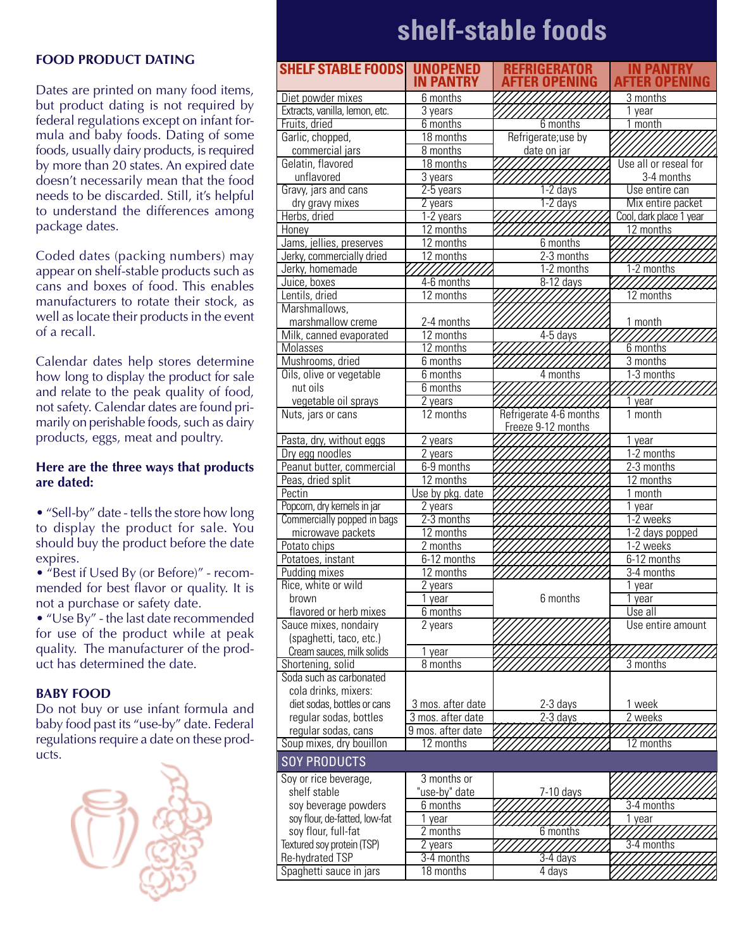# **shelf-stable foods**

#### **FOOD PRODUCT DATING**

Dates are printed on many food items, but product dating is not required by federal regulations except on infant formula and baby foods. Dating of some foods, usually dairy products, is required by more than 20 states. An expired date doesn't necessarily mean that the food needs to be discarded. Still, it's helpful to understand the differences among package dates.

Coded dates (packing numbers) may appear on shelf-stable products such as cans and boxes of food. This enables manufacturers to rotate their stock, as well as locate their products in the event of a recall.

Calendar dates help stores determine how long to display the product for sale and relate to the peak quality of food, not safety. Calendar dates are found primarily on perishable foods, such as dairy products, eggs, meat and poultry.

### **Here are the three ways that products are dated:**

• "Sell-by" date - tells the store how long to display the product for sale. You should buy the product before the date expires.

• "Best if Used By (or Before)" - recommended for best flavor or quality. It is not a purchase or safety date.

• "Use By" - the last date recommended for use of the product while at peak quality. The manufacturer of the product has determined the date.

#### **BABY FOOD**

Do not buy or use infant formula and baby food past its "use-by" date. Federal regulations require a date on these products.



| <b>SHELF STABLE FOODS</b>                       | <b>UNOPENED</b><br><b>IN PANTRY</b> | REFRIGERATOR<br>ER NPEN | <b>IN PANTRY</b><br><b>AFTER OPENING</b> |
|-------------------------------------------------|-------------------------------------|-------------------------|------------------------------------------|
| Diet powder mixes                               | 6 months                            |                         | 3 months                                 |
| Extracts, vanilla, lemon, etc.                  | 3 years                             |                         | 1 year                                   |
| Fruits, dried                                   | 6 months                            | 6 months                | 1 month                                  |
| Garlic, chopped,                                | 18 months                           | Refrigerate;use by      |                                          |
| commercial jars                                 | 8 months                            | date on jar             |                                          |
| Gelatin, flavored                               | 18 months                           |                         | Use all or reseal for                    |
| unflavored                                      | 3 years                             |                         | 3-4 months                               |
| Gravy, jars and cans                            | 2-5 years                           | $1-2$ days              | Use entire can                           |
| dry gravy mixes                                 | 2 years                             | 1-2 days                | Mix entire packet                        |
| Herbs, dried                                    | $1-2$ years                         |                         | Cool, dark place 1 year                  |
| Honey                                           | 12 months                           |                         | 12 months                                |
| Jams, jellies, preserves                        | 12 months                           | 6 months                |                                          |
| Jerky, commercially dried                       | 12 months                           | $2-3$ months            |                                          |
| Jerky, homemade                                 | 77////                              | 1-2 months              | 1-2 months                               |
| Juice, boxes                                    | 4-6 months                          | $8-12$ days             | ///////                                  |
| Lentils, dried                                  | 12 months                           |                         | 12 months                                |
| Marshmallows,                                   |                                     |                         |                                          |
| marshmallow creme                               | 2-4 months                          | $4-5$ days              | 1 month                                  |
| Milk, canned evaporated                         | 12 months<br>12 months              |                         | 6 months                                 |
| Molasses<br>Mushrooms, dried                    | 6 months                            |                         | 3 months                                 |
| Oils, olive or vegetable                        | 6 months                            | 4 months                | 1-3 months                               |
| nut oils                                        | 6 months                            |                         |                                          |
| vegetable oil sprays                            | 2 years                             |                         | 1 year                                   |
| Nuts, jars or cans                              | $\overline{12}$ months              | Refrigerate 4-6 months  | $\overline{1 \text{ month}}$             |
|                                                 |                                     | Freeze 9-12 months      |                                          |
| Pasta, dry, without eggs                        | 2 years                             |                         | 1 year                                   |
| Dry egg noodles                                 | 2 years                             |                         | 1-2 months                               |
| Peanut butter, commercial                       | 6-9 months                          |                         | 2-3 months                               |
| Peas, dried split                               | 12 months                           |                         | 12 months                                |
| Pectin                                          | Use by pkg. date                    |                         | 1 month                                  |
| Popcorn, dry kernels in jar                     | $\overline{2}$ years                |                         | $\overline{1}$ year                      |
| Commercially popped in bags                     | 2-3 months                          |                         | 1-2 weeks                                |
| microwave packets                               | 12 months                           |                         | 1-2 days popped                          |
| Potato chips                                    | $\overline{2}$ months               |                         | 1-2 weeks                                |
| Potatoes, instant                               | 6-12 months                         |                         | 6-12 months                              |
| Pudding mixes                                   | 12 months                           |                         | 3-4 months                               |
| Rice, white or wild                             | $\overline{2}$ years                |                         | 1 year                                   |
| brown                                           | 1 vear                              | 6 months                | 1 vear                                   |
| flavored or herb mixes<br>Sauce mixes, nondairy | 6 months<br>2 years                 |                         | Use all<br>Use entire amount             |
| (spaghetti, taco, etc.)                         |                                     |                         |                                          |
| Cream sauces, milk solids                       | 1 year                              |                         |                                          |
| Shortening, solid                               | 8 months                            |                         | 3 months                                 |
| Soda such as carbonated                         |                                     |                         |                                          |
| cola drinks, mixers:                            |                                     |                         |                                          |
| diet sodas, bottles or cans                     | 3 mos. after date                   | $2-3$ days              | 1 week                                   |
| regular sodas, bottles                          | 3 mos. after date                   | $2-3$ days              | 2 weeks                                  |
| regular sodas, cans                             | 9 mos. after date                   |                         |                                          |
| Soup mixes, dry bouillon                        | 12 months                           |                         | 12 months                                |
| <b>SOY PRODUCTS</b>                             |                                     |                         |                                          |
| Soy or rice beverage,                           | 3 months or                         |                         |                                          |
| shelf stable                                    | "use-by" date                       | 7-10 days               |                                          |
| soy beverage powders                            | 6 months                            |                         | 3-4 months                               |
| soy flour, de-fatted, low-fat                   | 1 year                              |                         |                                          |
| soy flour, full-fat                             | 2 months                            | 6 months                | 1 year                                   |
| Textured soy protein (TSP)                      | 2 years                             |                         | 3-4 months                               |
| Re-hydrated TSP                                 | 3-4 months                          | $3-4$ days              |                                          |
| Spaghetti sauce in jars                         | 18 months                           | 4 days                  |                                          |
|                                                 |                                     |                         |                                          |